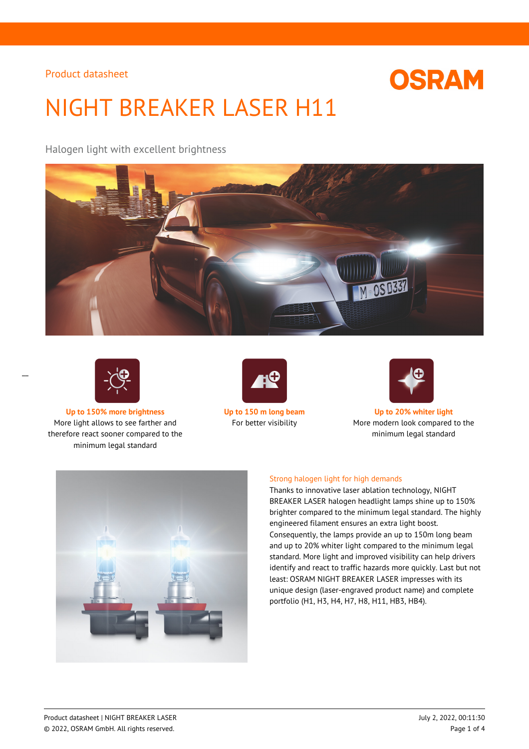

# NIGHT BREAKER LASER H11

Halogen light with excellent brightness





 $\overline{a}$ 

**Up to 150% more brightness Up to 150 m long beam Up to 20% whiter light** More light allows to see farther and therefore react sooner compared to the minimum legal standard





For better visibility More modern look compared to the minimum legal standard



## Strong halogen light for high demands

Thanks to innovative laser ablation technology, NIGHT BREAKER LASER halogen headlight lamps shine up to 150% brighter compared to the minimum legal standard. The highly engineered filament ensures an extra light boost. Consequently, the lamps provide an up to 150m long beam and up to 20% whiter light compared to the minimum legal standard. More light and improved visibility can help drivers identify and react to traffic hazards more quickly. Last but not least: OSRAM NIGHT BREAKER LASER impresses with its unique design (laser-engraved product name) and complete portfolio (H1, H3, H4, H7, H8, H11, HB3, HB4).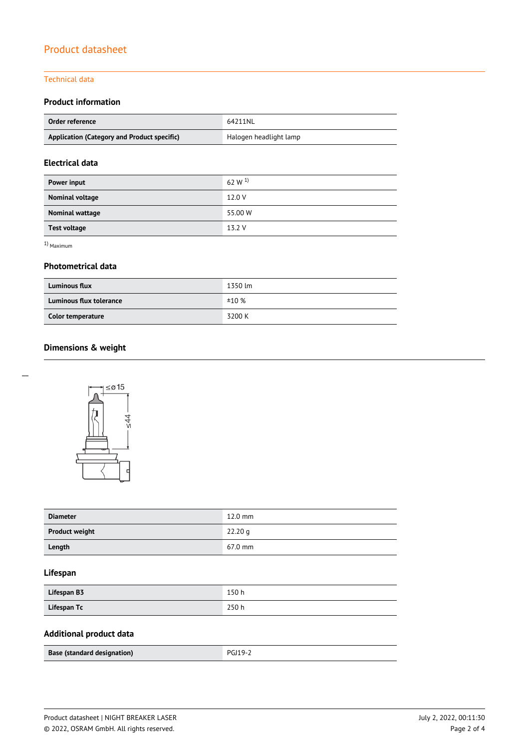## Technical data

## **Product information**

| Order reference                             | 64211NL                |
|---------------------------------------------|------------------------|
| Application (Category and Product specific) | Halogen headlight lamp |

## **Electrical data**

| Power input         | 62 W <sup>1)</sup> |
|---------------------|--------------------|
| Nominal voltage     | 12.0 V             |
| Nominal wattage     | 55.00 W            |
| <b>Test voltage</b> | 13.2 V             |

1) Maximum

 $\overline{a}$ 

## **Photometrical data**

| <b>Luminous flux</b>    | 1350 lm |
|-------------------------|---------|
| Luminous flux tolerance | ±10%    |
| Color temperature       | 3200 K  |

## **Dimensions & weight**



 $\leq 44$ 

| <b>Diameter</b>       | $12.0$ mm         |
|-----------------------|-------------------|
| <b>Product weight</b> | 22.20 g           |
| Length                | $67.0 \text{ mm}$ |

## **Lifespan**

| Lifespan B3 | 150 h |
|-------------|-------|
| Lifespan Tc | 250 h |

# **Additional product data**

| Base (standard designation) | <b>PGJ19-2</b> |  |
|-----------------------------|----------------|--|
|                             |                |  |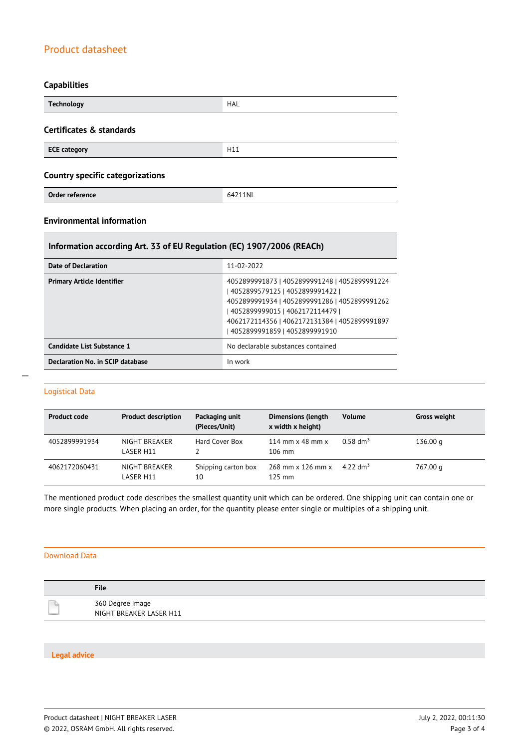## **Capabilities**

| <b>Technology</b>                       | <b>HAL</b> |
|-----------------------------------------|------------|
| Certificates & standards                |            |
| <b>ECE category</b>                     | H11        |
| <b>Country specific categorizations</b> |            |
| Order reference                         | 64211NL    |

## **Environmental information**

## **Information according Art. 33 of EU Regulation (EC) 1907/2006 (REACh)**

| Date of Declaration                     | 11-02-2022                                                                                                                                                                                                                                                 |
|-----------------------------------------|------------------------------------------------------------------------------------------------------------------------------------------------------------------------------------------------------------------------------------------------------------|
| <b>Primary Article Identifier</b>       | 4052899991873   4052899991248   4052899991224<br>  4052899579125   4052899991422  <br>4052899991934   4052899991286   4052899991262<br>  4052899999015   4062172114479  <br>4062172114356   4062172131384   4052899991897<br>4052899991859   4052899991910 |
| Candidate List Substance 1              | No declarable substances contained                                                                                                                                                                                                                         |
| <b>Declaration No. in SCIP database</b> | In work                                                                                                                                                                                                                                                    |

#### Logistical Data

| <b>Product code</b> | <b>Product description</b> | Packaging unit<br>(Pieces/Unit) | <b>Dimensions (length</b><br>x width x height) | <b>Volume</b>        | <b>Gross weight</b> |
|---------------------|----------------------------|---------------------------------|------------------------------------------------|----------------------|---------------------|
| 4052899991934       | NIGHT BREAKER<br>LASER H11 | Hard Cover Box                  | 114 mm $\times$ 48 mm $\times$<br>$106$ mm     | $0.58 \text{ dm}^3$  | 136.00 g            |
| 4062172060431       | NIGHT BREAKER<br>LASER H11 | Shipping carton box<br>10       | 268 mm x 126 mm x<br>$125 \text{ mm}$          | 4.22 dm <sup>3</sup> | 767.00 g            |

The mentioned product code describes the smallest quantity unit which can be ordered. One shipping unit can contain one or more single products. When placing an order, for the quantity please enter single or multiples of a shipping unit.

#### Download Data

| <b>File</b>                                 |
|---------------------------------------------|
| 360 Degree Image<br>NIGHT BREAKER LASER H11 |

#### **Legal advice**